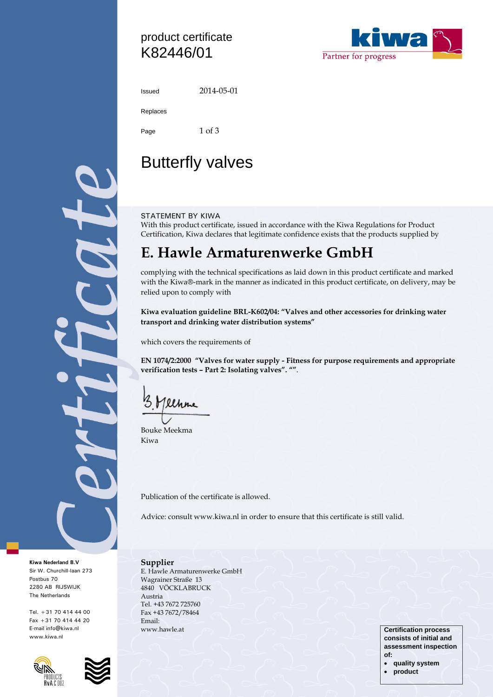## product certificate K82446/01



2014-05-01

Replaces

Page 1 of 3

## Butterfly valves

### STATEMENT BY KIWA

With this product certificate, issued in accordance with the Kiwa Regulations for Product Certification, Kiwa declares that legitimate confidence exists that the products supplied by

## **E. Hawle Armaturenwerke GmbH**

complying with the technical specifications as laid down in this product certificate and marked with the Kiwa®-mark in the manner as indicated in this product certificate, on delivery, may be relied upon to comply with

**Kiwa evaluation guideline BRL-K602/04: "Valves and other accessories for drinking water transport and drinking water distribution systems"**

which covers the requirements of

**EN 1074/2:2000 "Valves for water supply - Fitness for purpose requirements and appropriate verification tests – Part 2: Isolating valves". ""**.

llhre

Bouke Meekma Kiwa

Publication of the certificate is allowed.

Advice: consult www.kiwa.nl in order to ensure that this certificate is still valid.

#### **Kiwa Nederland B.V**  Sir W. Churchill-laan 273 Postbus 70 2280 AB RIJSWIJK The Netherlands

Tel. +31 70 414 44 00 Fax +31 70 414 44 20 E-mail info@kiwa.nl www.kiwa.nl





**Supplier** E. Hawle Armaturenwerke GmbH Wagrainer Straße 13 4840 VÖCKLABRUCK Austria Tel. +43 7672 725760 Fax +43 7672/78464 Email: www.hawle.at **Certification process** 

**consists of initial and assessment inspection of:**

- **quality system**
	- **product**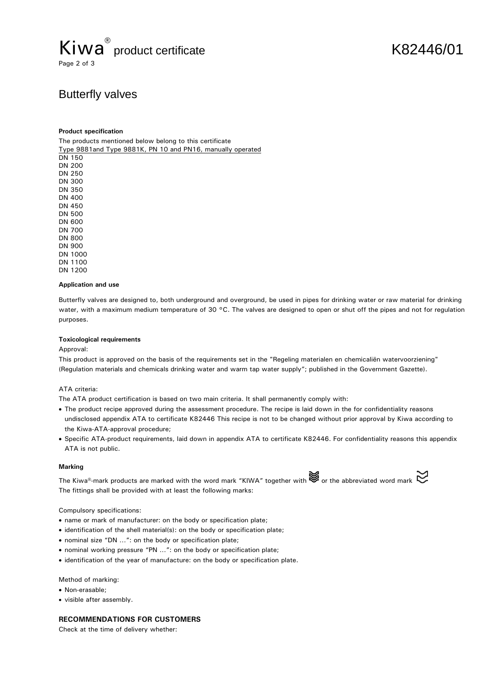## Kiwa<sup>®</sup> product certificate K82446/01 Page 2 of 3

## Butterfly valves

#### **Product specification**

The products mentioned below belong to this certificate Type 9881and Type 9881K, PN 10 and PN16, manually operated DN 150 DN 200 DN 250 DN 300 DN 350 DN 400 DN 450 DN 500

DN 600 DN 700 DN 800 DN 900 DN 1000 DN 1100 DN 1200

#### **Application and use**

Butterfly valves are designed to, both underground and overground, be used in pipes for drinking water or raw material for drinking water, with a maximum medium temperature of 30 °C. The valves are designed to open or shut off the pipes and not for regulation purposes.

#### **Toxicological requirements**

#### Approval:

This product is approved on the basis of the requirements set in the "Regeling materialen en chemicaliën watervoorziening" (Regulation materials and chemicals drinking water and warm tap water supply"; published in the Government Gazette).

#### ATA criteria:

The ATA product certification is based on two main criteria. It shall permanently comply with:

- The product recipe approved during the assessment procedure. The recipe is laid down in the for confidentiality reasons undisclosed appendix ATA to certificate K82446 This recipe is not to be changed without prior approval by Kiwa according to the Kiwa-ATA-approval procedure;
- Specific ATA-product requirements, laid down in appendix ATA to certificate K82446. For confidentiality reasons this appendix ATA is not public.

#### **Marking**

The Kiwa®-mark products are marked with the word mark "KIWA" together with  $\mathbb{S}$  or the abbreviated word mark  $\mathbb{C}$ The fittings shall be provided with at least the following marks:

Compulsory specifications:

- name or mark of manufacturer: on the body or specification plate;
- identification of the shell material(s): on the body or specification plate;
- nominal size "DN …": on the body or specification plate;
- nominal working pressure "PN …": on the body or specification plate;
- identification of the year of manufacture: on the body or specification plate.

#### Method of marking:

- Non-erasable:
- visible after assembly.

#### **RECOMMENDATIONS FOR CUSTOMERS**

Check at the time of delivery whether: